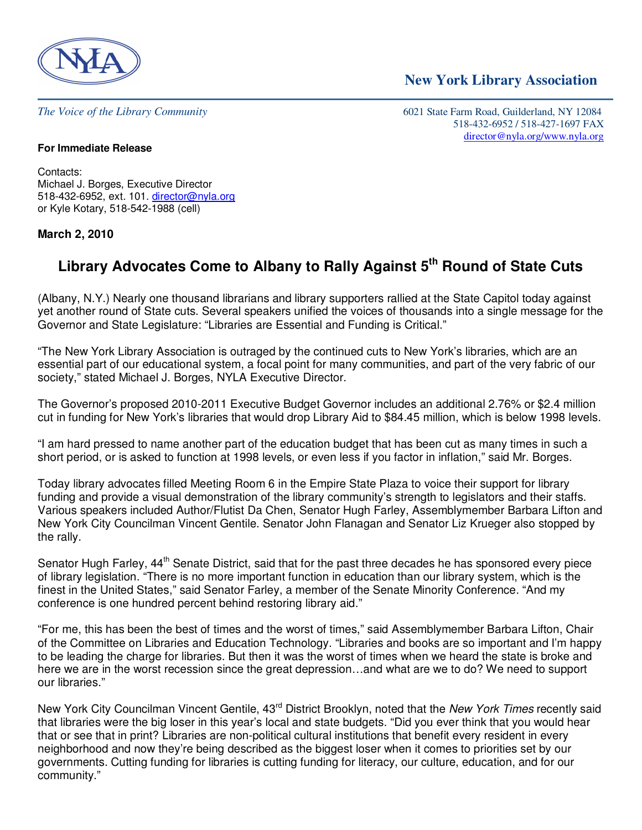

*The Voice of the Library Community* 6021 State Farm Road, Guilderland, NY 12084 518-432-6952 / 518-427-1697 FAX director@nyla.org/www.nyla.org

 **New York Library Association** 

#### **For Immediate Release**

Contacts: Michael J. Borges, Executive Director 518-432-6952, ext. 101. director@nyla.org or Kyle Kotary, 518-542-1988 (cell)

### **March 2, 2010**

# **Library Advocates Come to Albany to Rally Against 5th Round of State Cuts**

(Albany, N.Y.) Nearly one thousand librarians and library supporters rallied at the State Capitol today against yet another round of State cuts. Several speakers unified the voices of thousands into a single message for the Governor and State Legislature: "Libraries are Essential and Funding is Critical."

"The New York Library Association is outraged by the continued cuts to New York's libraries, which are an essential part of our educational system, a focal point for many communities, and part of the very fabric of our society," stated Michael J. Borges, NYLA Executive Director.

The Governor's proposed 2010-2011 Executive Budget Governor includes an additional 2.76% or \$2.4 million cut in funding for New York's libraries that would drop Library Aid to \$84.45 million, which is below 1998 levels.

"I am hard pressed to name another part of the education budget that has been cut as many times in such a short period, or is asked to function at 1998 levels, or even less if you factor in inflation," said Mr. Borges.

Today library advocates filled Meeting Room 6 in the Empire State Plaza to voice their support for library funding and provide a visual demonstration of the library community's strength to legislators and their staffs. Various speakers included Author/Flutist Da Chen, Senator Hugh Farley, Assemblymember Barbara Lifton and New York City Councilman Vincent Gentile. Senator John Flanagan and Senator Liz Krueger also stopped by the rally.

Senator Hugh Farley, 44<sup>th</sup> Senate District, said that for the past three decades he has sponsored every piece of library legislation. "There is no more important function in education than our library system, which is the finest in the United States," said Senator Farley, a member of the Senate Minority Conference. "And my conference is one hundred percent behind restoring library aid."

"For me, this has been the best of times and the worst of times," said Assemblymember Barbara Lifton, Chair of the Committee on Libraries and Education Technology. "Libraries and books are so important and I'm happy to be leading the charge for libraries. But then it was the worst of times when we heard the state is broke and here we are in the worst recession since the great depression…and what are we to do? We need to support our libraries."

New York City Councilman Vincent Gentile, 43<sup>rd</sup> District Brooklyn, noted that the New York Times recently said that libraries were the big loser in this year's local and state budgets. "Did you ever think that you would hear that or see that in print? Libraries are non-political cultural institutions that benefit every resident in every neighborhood and now they're being described as the biggest loser when it comes to priorities set by our governments. Cutting funding for libraries is cutting funding for literacy, our culture, education, and for our community."